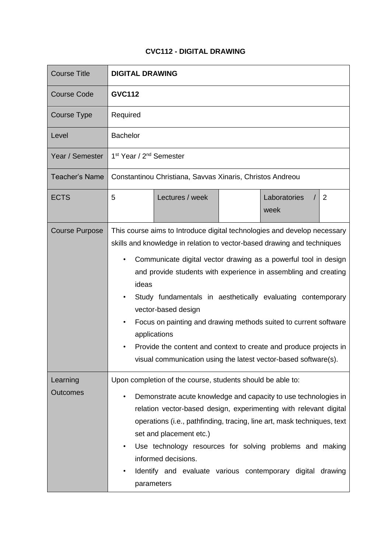## **CVC112 - DIGITAL DRAWING**

| <b>Course Title</b>   | <b>DIGITAL DRAWING</b>                                                                                                                                                                                                                                                                                                                                                                                                                                                                                                                                                                                               |  |  |
|-----------------------|----------------------------------------------------------------------------------------------------------------------------------------------------------------------------------------------------------------------------------------------------------------------------------------------------------------------------------------------------------------------------------------------------------------------------------------------------------------------------------------------------------------------------------------------------------------------------------------------------------------------|--|--|
| <b>Course Code</b>    | <b>GVC112</b>                                                                                                                                                                                                                                                                                                                                                                                                                                                                                                                                                                                                        |  |  |
| <b>Course Type</b>    | Required                                                                                                                                                                                                                                                                                                                                                                                                                                                                                                                                                                                                             |  |  |
| Level                 | <b>Bachelor</b>                                                                                                                                                                                                                                                                                                                                                                                                                                                                                                                                                                                                      |  |  |
| Year / Semester       | 1 <sup>st</sup> Year / 2 <sup>nd</sup> Semester                                                                                                                                                                                                                                                                                                                                                                                                                                                                                                                                                                      |  |  |
| <b>Teacher's Name</b> | Constantinou Christiana, Savvas Xinaris, Christos Andreou                                                                                                                                                                                                                                                                                                                                                                                                                                                                                                                                                            |  |  |
| <b>ECTS</b>           | 5<br>Lectures / week<br>Laboratories<br>2<br>week                                                                                                                                                                                                                                                                                                                                                                                                                                                                                                                                                                    |  |  |
| <b>Course Purpose</b> | This course aims to Introduce digital technologies and develop necessary<br>skills and knowledge in relation to vector-based drawing and techniques<br>Communicate digital vector drawing as a powerful tool in design<br>and provide students with experience in assembling and creating<br>ideas<br>Study fundamentals in aesthetically evaluating contemporary<br>vector-based design<br>Focus on painting and drawing methods suited to current software<br>applications<br>Provide the content and context to create and produce projects in<br>visual communication using the latest vector-based software(s). |  |  |
| Learning<br>Outcomes  | Upon completion of the course, students should be able to:<br>Demonstrate acute knowledge and capacity to use technologies in<br>$\bullet$<br>relation vector-based design, experimenting with relevant digital<br>operations (i.e., pathfinding, tracing, line art, mask techniques, text<br>set and placement etc.)<br>Use technology resources for solving problems and making<br>$\bullet$<br>informed decisions.<br>Identify and evaluate various contemporary digital drawing<br>parameters                                                                                                                    |  |  |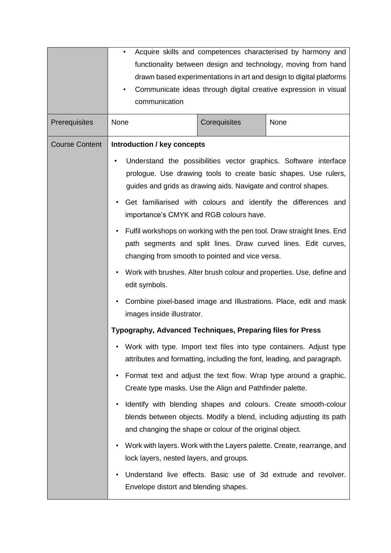|                       |                                                                |              | Acquire skills and competences characterised by harmony and                                                                                   |
|-----------------------|----------------------------------------------------------------|--------------|-----------------------------------------------------------------------------------------------------------------------------------------------|
|                       |                                                                |              | functionality between design and technology, moving from hand                                                                                 |
|                       |                                                                |              | drawn based experimentations in art and design to digital platforms                                                                           |
|                       |                                                                |              | Communicate ideas through digital creative expression in visual                                                                               |
|                       | communication                                                  |              |                                                                                                                                               |
| Prerequisites         | None                                                           | Corequisites | None                                                                                                                                          |
| <b>Course Content</b> | <b>Introduction / key concepts</b>                             |              |                                                                                                                                               |
|                       | guides and grids as drawing aids. Navigate and control shapes. |              | Understand the possibilities vector graphics. Software interface<br>prologue. Use drawing tools to create basic shapes. Use rulers,           |
|                       | $\bullet$<br>importance's CMYK and RGB colours have.           |              | Get familiarised with colours and identify the differences and                                                                                |
|                       | changing from smooth to pointed and vice versa.                |              | Fulfil workshops on working with the pen tool. Draw straight lines. End<br>path segments and split lines. Draw curved lines. Edit curves,     |
|                       | edit symbols.                                                  |              | Work with brushes. Alter brush colour and properties. Use, define and                                                                         |
|                       | images inside illustrator.                                     |              | Combine pixel-based image and Illustrations. Place, edit and mask                                                                             |
|                       | Typography, Advanced Techniques, Preparing files for Press     |              |                                                                                                                                               |
|                       |                                                                |              | Work with type. Import text files into type containers. Adjust type<br>attributes and formatting, including the font, leading, and paragraph. |
|                       | Create type masks. Use the Align and Pathfinder palette.       |              | Format text and adjust the text flow. Wrap type around a graphic.                                                                             |
|                       | and changing the shape or colour of the original object.       |              | Identify with blending shapes and colours. Create smooth-colour<br>blends between objects. Modify a blend, including adjusting its path       |
|                       | lock layers, nested layers, and groups.                        |              | Work with layers. Work with the Layers palette. Create, rearrange, and                                                                        |
|                       | Envelope distort and blending shapes.                          |              | Understand live effects. Basic use of 3d extrude and revolver.                                                                                |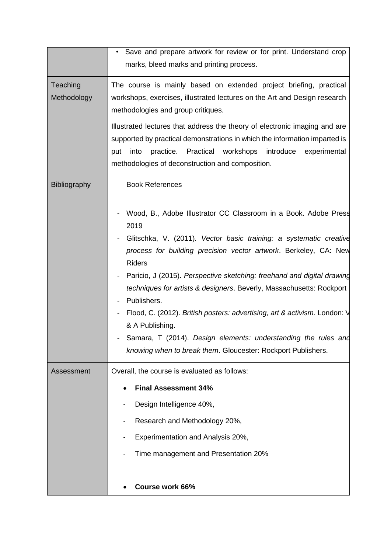|                         | Save and prepare artwork for review or for print. Understand crop<br>marks, bleed marks and printing process.                                                                                                                                                                                                                                                                                                                                                                                                                                                                                                                                                                                   |
|-------------------------|-------------------------------------------------------------------------------------------------------------------------------------------------------------------------------------------------------------------------------------------------------------------------------------------------------------------------------------------------------------------------------------------------------------------------------------------------------------------------------------------------------------------------------------------------------------------------------------------------------------------------------------------------------------------------------------------------|
| Teaching<br>Methodology | The course is mainly based on extended project briefing, practical<br>workshops, exercises, illustrated lectures on the Art and Design research<br>methodologies and group critiques.<br>Illustrated lectures that address the theory of electronic imaging and are<br>supported by practical demonstrations in which the information imparted is<br>practice. Practical workshops<br>introduce experimental<br>put<br>into<br>methodologies of deconstruction and composition.                                                                                                                                                                                                                 |
| <b>Bibliography</b>     | <b>Book References</b><br>Wood, B., Adobe Illustrator CC Classroom in a Book. Adobe Press<br>2019<br>Glitschka, V. (2011). Vector basic training: a systematic creative<br>process for building precision vector artwork. Berkeley, CA: New<br><b>Riders</b><br>Paricio, J (2015). Perspective sketching: freehand and digital drawing<br>$\qquad \qquad \blacksquare$<br>techniques for artists & designers. Beverly, Massachusetts: Rockport<br>Publishers.<br>Flood, C. (2012). British posters: advertising, art & activism. London: V<br>& A Publishing.<br>Samara, T (2014). Design elements: understanding the rules and<br>knowing when to break them. Gloucester: Rockport Publishers. |
| Assessment              | Overall, the course is evaluated as follows:<br><b>Final Assessment 34%</b><br>Design Intelligence 40%,<br>Research and Methodology 20%,<br>Experimentation and Analysis 20%,<br>Time management and Presentation 20%<br><b>Course work 66%</b>                                                                                                                                                                                                                                                                                                                                                                                                                                                 |